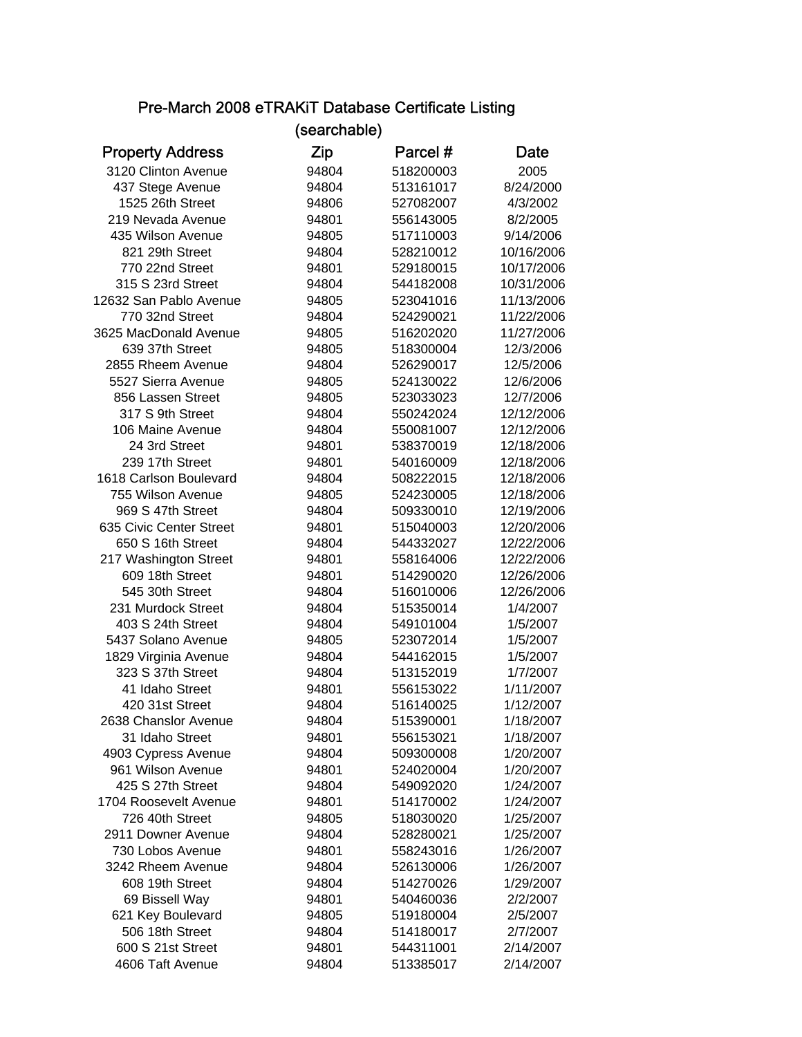## Pre-March 2008 eTRAKiT Database Certificate Listing (searchable)

|                         | (searchable) |           |            |
|-------------------------|--------------|-----------|------------|
| <b>Property Address</b> | Zip          | Parcel #  | Date       |
| 3120 Clinton Avenue     | 94804        | 518200003 | 2005       |
| 437 Stege Avenue        | 94804        | 513161017 | 8/24/2000  |
| 1525 26th Street        | 94806        | 527082007 | 4/3/2002   |
| 219 Nevada Avenue       | 94801        | 556143005 | 8/2/2005   |
| 435 Wilson Avenue       | 94805        | 517110003 | 9/14/2006  |
| 821 29th Street         | 94804        | 528210012 | 10/16/2006 |
| 770 22nd Street         | 94801        | 529180015 | 10/17/2006 |
| 315 S 23rd Street       | 94804        | 544182008 | 10/31/2006 |
| 12632 San Pablo Avenue  | 94805        | 523041016 | 11/13/2006 |
| 770 32nd Street         | 94804        | 524290021 | 11/22/2006 |
| 3625 MacDonald Avenue   | 94805        | 516202020 | 11/27/2006 |
| 639 37th Street         | 94805        | 518300004 | 12/3/2006  |
| 2855 Rheem Avenue       | 94804        | 526290017 | 12/5/2006  |
| 5527 Sierra Avenue      | 94805        | 524130022 | 12/6/2006  |
| 856 Lassen Street       | 94805        | 523033023 | 12/7/2006  |
| 317 S 9th Street        | 94804        | 550242024 | 12/12/2006 |
| 106 Maine Avenue        | 94804        | 550081007 | 12/12/2006 |
| 24 3rd Street           | 94801        | 538370019 | 12/18/2006 |
| 239 17th Street         | 94801        | 540160009 | 12/18/2006 |
| 1618 Carlson Boulevard  | 94804        | 508222015 | 12/18/2006 |
| 755 Wilson Avenue       | 94805        | 524230005 | 12/18/2006 |
| 969 S 47th Street       | 94804        | 509330010 | 12/19/2006 |
| 635 Civic Center Street | 94801        | 515040003 | 12/20/2006 |
| 650 S 16th Street       | 94804        | 544332027 | 12/22/2006 |
| 217 Washington Street   | 94801        | 558164006 | 12/22/2006 |
| 609 18th Street         | 94801        | 514290020 | 12/26/2006 |
| 545 30th Street         | 94804        | 516010006 | 12/26/2006 |
| 231 Murdock Street      | 94804        | 515350014 | 1/4/2007   |
| 403 S 24th Street       | 94804        | 549101004 | 1/5/2007   |
| 5437 Solano Avenue      | 94805        | 523072014 | 1/5/2007   |
| 1829 Virginia Avenue    | 94804        | 544162015 | 1/5/2007   |
| 323 S 37th Street       | 94804        | 513152019 | 1/7/2007   |
| 41 Idaho Street         | 94801        | 556153022 | 1/11/2007  |
| 420 31st Street         | 94804        | 516140025 | 1/12/2007  |
| 2638 Chanslor Avenue    | 94804        | 515390001 | 1/18/2007  |
| 31 Idaho Street         | 94801        | 556153021 | 1/18/2007  |
| 4903 Cypress Avenue     | 94804        | 509300008 | 1/20/2007  |
| 961 Wilson Avenue       | 94801        | 524020004 | 1/20/2007  |
| 425 S 27th Street       | 94804        | 549092020 | 1/24/2007  |
| 1704 Roosevelt Avenue   | 94801        | 514170002 | 1/24/2007  |
| 726 40th Street         | 94805        | 518030020 | 1/25/2007  |
| 2911 Downer Avenue      | 94804        | 528280021 | 1/25/2007  |
| 730 Lobos Avenue        | 94801        | 558243016 | 1/26/2007  |
| 3242 Rheem Avenue       | 94804        | 526130006 | 1/26/2007  |
| 608 19th Street         | 94804        | 514270026 | 1/29/2007  |
| 69 Bissell Way          | 94801        | 540460036 | 2/2/2007   |
| 621 Key Boulevard       | 94805        | 519180004 | 2/5/2007   |
| 506 18th Street         | 94804        | 514180017 | 2/7/2007   |
| 600 S 21st Street       | 94801        | 544311001 | 2/14/2007  |
| 4606 Taft Avenue        | 94804        | 513385017 | 2/14/2007  |
|                         |              |           |            |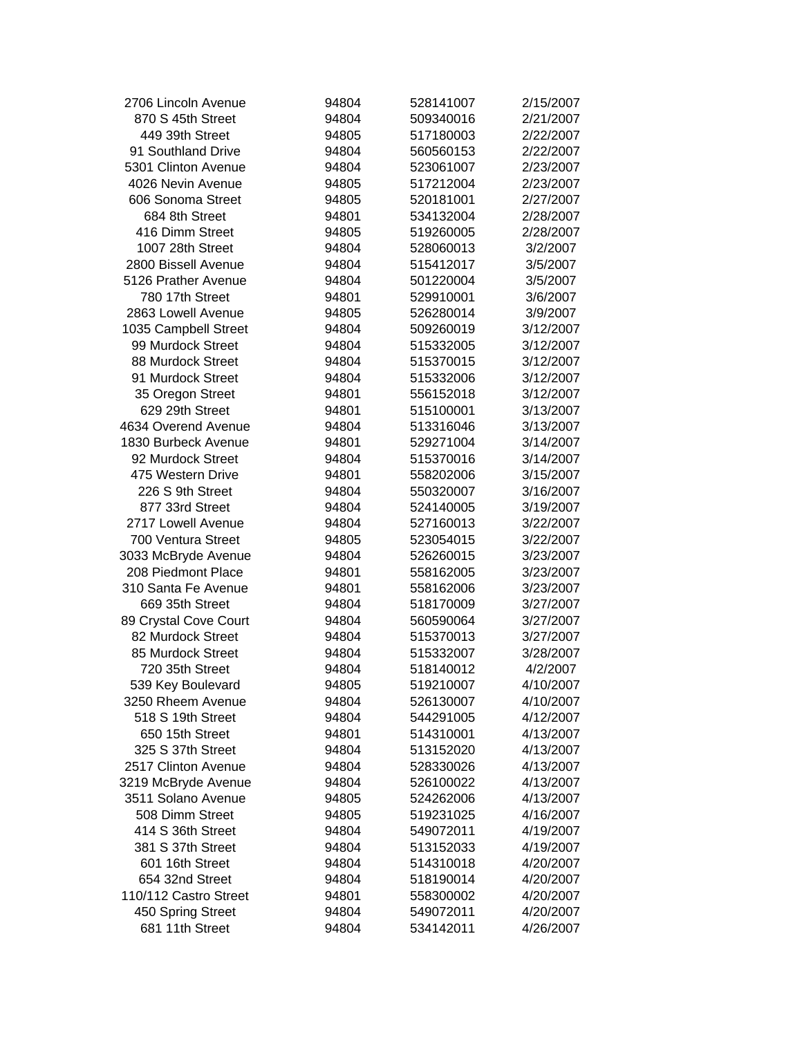| 2706 Lincoln Avenue   | 94804 | 528141007 | 2/15/2007 |
|-----------------------|-------|-----------|-----------|
| 870 S 45th Street     | 94804 | 509340016 | 2/21/2007 |
| 449 39th Street       | 94805 | 517180003 | 2/22/2007 |
| 91 Southland Drive    | 94804 | 560560153 | 2/22/2007 |
| 5301 Clinton Avenue   | 94804 | 523061007 | 2/23/2007 |
| 4026 Nevin Avenue     | 94805 | 517212004 | 2/23/2007 |
| 606 Sonoma Street     | 94805 | 520181001 | 2/27/2007 |
| 684 8th Street        | 94801 | 534132004 | 2/28/2007 |
| 416 Dimm Street       | 94805 | 519260005 | 2/28/2007 |
| 1007 28th Street      | 94804 | 528060013 | 3/2/2007  |
| 2800 Bissell Avenue   | 94804 | 515412017 | 3/5/2007  |
| 5126 Prather Avenue   | 94804 | 501220004 | 3/5/2007  |
| 780 17th Street       | 94801 | 529910001 | 3/6/2007  |
| 2863 Lowell Avenue    | 94805 | 526280014 | 3/9/2007  |
| 1035 Campbell Street  | 94804 | 509260019 | 3/12/2007 |
| 99 Murdock Street     | 94804 | 515332005 | 3/12/2007 |
| 88 Murdock Street     | 94804 | 515370015 | 3/12/2007 |
| 91 Murdock Street     | 94804 | 515332006 | 3/12/2007 |
| 35 Oregon Street      | 94801 | 556152018 | 3/12/2007 |
| 629 29th Street       | 94801 | 515100001 | 3/13/2007 |
| 4634 Overend Avenue   | 94804 | 513316046 | 3/13/2007 |
| 1830 Burbeck Avenue   | 94801 | 529271004 | 3/14/2007 |
| 92 Murdock Street     | 94804 | 515370016 | 3/14/2007 |
| 475 Western Drive     | 94801 | 558202006 | 3/15/2007 |
| 226 S 9th Street      | 94804 | 550320007 | 3/16/2007 |
| 877 33rd Street       | 94804 | 524140005 | 3/19/2007 |
| 2717 Lowell Avenue    | 94804 | 527160013 | 3/22/2007 |
| 700 Ventura Street    | 94805 | 523054015 | 3/22/2007 |
| 3033 McBryde Avenue   | 94804 | 526260015 | 3/23/2007 |
| 208 Piedmont Place    | 94801 | 558162005 | 3/23/2007 |
| 310 Santa Fe Avenue   | 94801 | 558162006 | 3/23/2007 |
| 669 35th Street       | 94804 | 518170009 | 3/27/2007 |
| 89 Crystal Cove Court | 94804 | 560590064 | 3/27/2007 |
| 82 Murdock Street     | 94804 | 515370013 | 3/27/2007 |
| 85 Murdock Street     | 94804 | 515332007 | 3/28/2007 |
| 720 35th Street       | 94804 | 518140012 | 4/2/2007  |
| 539 Key Boulevard     | 94805 | 519210007 | 4/10/2007 |
| 3250 Rheem Avenue     | 94804 | 526130007 | 4/10/2007 |
| 518 S 19th Street     | 94804 | 544291005 | 4/12/2007 |
| 650 15th Street       | 94801 | 514310001 | 4/13/2007 |
| 325 S 37th Street     | 94804 | 513152020 | 4/13/2007 |
| 2517 Clinton Avenue   | 94804 | 528330026 | 4/13/2007 |
| 3219 McBryde Avenue   | 94804 | 526100022 | 4/13/2007 |
| 3511 Solano Avenue    | 94805 | 524262006 | 4/13/2007 |
| 508 Dimm Street       | 94805 | 519231025 | 4/16/2007 |
| 414 S 36th Street     | 94804 | 549072011 | 4/19/2007 |
| 381 S 37th Street     | 94804 | 513152033 | 4/19/2007 |
| 601 16th Street       | 94804 | 514310018 | 4/20/2007 |
| 654 32nd Street       | 94804 | 518190014 | 4/20/2007 |
| 110/112 Castro Street | 94801 | 558300002 | 4/20/2007 |
| 450 Spring Street     | 94804 | 549072011 | 4/20/2007 |
| 681 11th Street       | 94804 | 534142011 | 4/26/2007 |
|                       |       |           |           |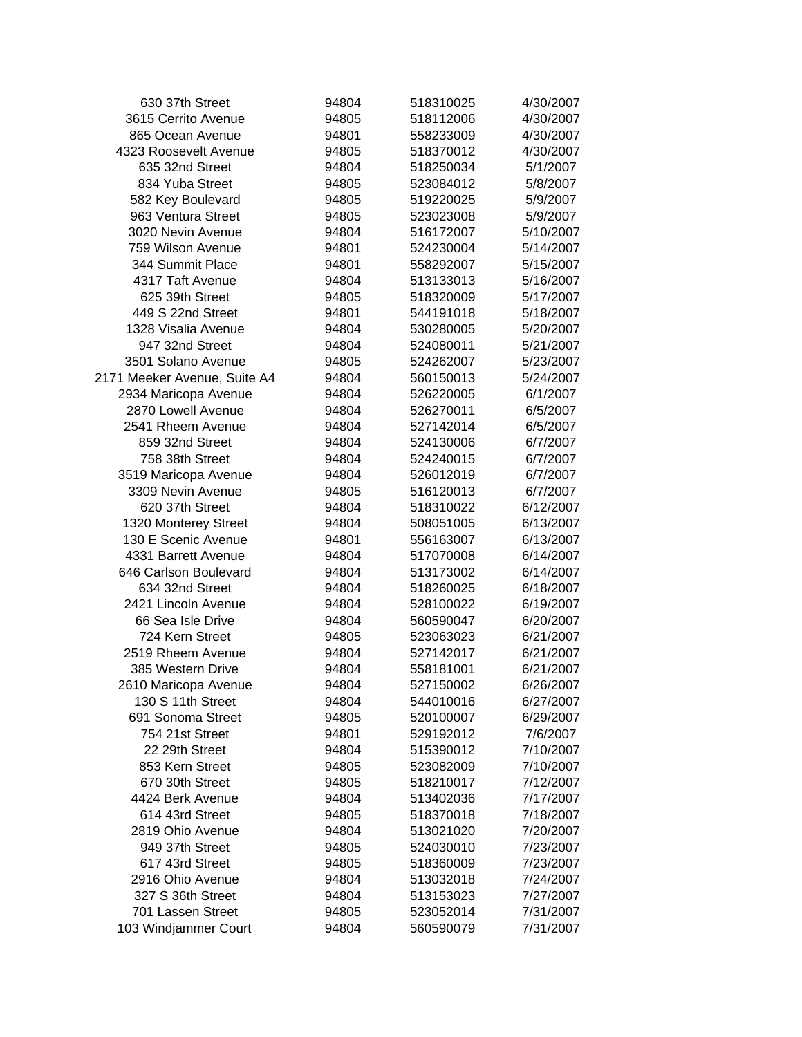| 630 37th Street              | 94804 | 518310025 | 4/30/2007 |
|------------------------------|-------|-----------|-----------|
| 3615 Cerrito Avenue          | 94805 | 518112006 | 4/30/2007 |
| 865 Ocean Avenue             | 94801 | 558233009 | 4/30/2007 |
| 4323 Roosevelt Avenue        | 94805 | 518370012 | 4/30/2007 |
| 635 32nd Street              | 94804 | 518250034 | 5/1/2007  |
| 834 Yuba Street              | 94805 | 523084012 | 5/8/2007  |
| 582 Key Boulevard            | 94805 | 519220025 | 5/9/2007  |
| 963 Ventura Street           | 94805 | 523023008 | 5/9/2007  |
| 3020 Nevin Avenue            | 94804 | 516172007 | 5/10/2007 |
| 759 Wilson Avenue            | 94801 | 524230004 | 5/14/2007 |
| 344 Summit Place             | 94801 | 558292007 | 5/15/2007 |
| 4317 Taft Avenue             | 94804 | 513133013 | 5/16/2007 |
| 625 39th Street              | 94805 | 518320009 | 5/17/2007 |
| 449 S 22nd Street            | 94801 | 544191018 | 5/18/2007 |
| 1328 Visalia Avenue          | 94804 | 530280005 | 5/20/2007 |
| 947 32nd Street              | 94804 | 524080011 | 5/21/2007 |
| 3501 Solano Avenue           | 94805 | 524262007 | 5/23/2007 |
| 2171 Meeker Avenue, Suite A4 | 94804 | 560150013 | 5/24/2007 |
| 2934 Maricopa Avenue         | 94804 | 526220005 | 6/1/2007  |
| 2870 Lowell Avenue           | 94804 | 526270011 | 6/5/2007  |
| 2541 Rheem Avenue            | 94804 | 527142014 | 6/5/2007  |
| 859 32nd Street              | 94804 | 524130006 | 6/7/2007  |
| 758 38th Street              | 94804 | 524240015 | 6/7/2007  |
| 3519 Maricopa Avenue         | 94804 | 526012019 | 6/7/2007  |
| 3309 Nevin Avenue            | 94805 | 516120013 | 6/7/2007  |
| 620 37th Street              | 94804 | 518310022 | 6/12/2007 |
| 1320 Monterey Street         | 94804 | 508051005 | 6/13/2007 |
| 130 E Scenic Avenue          | 94801 | 556163007 | 6/13/2007 |
| 4331 Barrett Avenue          | 94804 | 517070008 | 6/14/2007 |
| 646 Carlson Boulevard        | 94804 | 513173002 | 6/14/2007 |
| 634 32nd Street              | 94804 | 518260025 | 6/18/2007 |
| 2421 Lincoln Avenue          | 94804 | 528100022 | 6/19/2007 |
| 66 Sea Isle Drive            | 94804 | 560590047 | 6/20/2007 |
| 724 Kern Street              | 94805 | 523063023 | 6/21/2007 |
| 2519 Rheem Avenue            | 94804 | 527142017 | 6/21/2007 |
| 385 Western Drive            | 94804 | 558181001 | 6/21/2007 |
| 2610 Maricopa Avenue         | 94804 | 527150002 | 6/26/2007 |
| 130 S 11th Street            | 94804 | 544010016 | 6/27/2007 |
| 691 Sonoma Street            | 94805 | 520100007 | 6/29/2007 |
| 754 21st Street              | 94801 | 529192012 | 7/6/2007  |
| 22 29th Street               | 94804 | 515390012 | 7/10/2007 |
| 853 Kern Street              | 94805 | 523082009 | 7/10/2007 |
| 670 30th Street              | 94805 | 518210017 | 7/12/2007 |
| 4424 Berk Avenue             | 94804 | 513402036 | 7/17/2007 |
| 614 43rd Street              | 94805 | 518370018 | 7/18/2007 |
| 2819 Ohio Avenue             | 94804 | 513021020 | 7/20/2007 |
| 949 37th Street              | 94805 | 524030010 | 7/23/2007 |
| 617 43rd Street              | 94805 | 518360009 | 7/23/2007 |
| 2916 Ohio Avenue             | 94804 | 513032018 | 7/24/2007 |
| 327 S 36th Street            | 94804 | 513153023 | 7/27/2007 |
| 701 Lassen Street            | 94805 | 523052014 | 7/31/2007 |
| 103 Windjammer Court         | 94804 | 560590079 | 7/31/2007 |
|                              |       |           |           |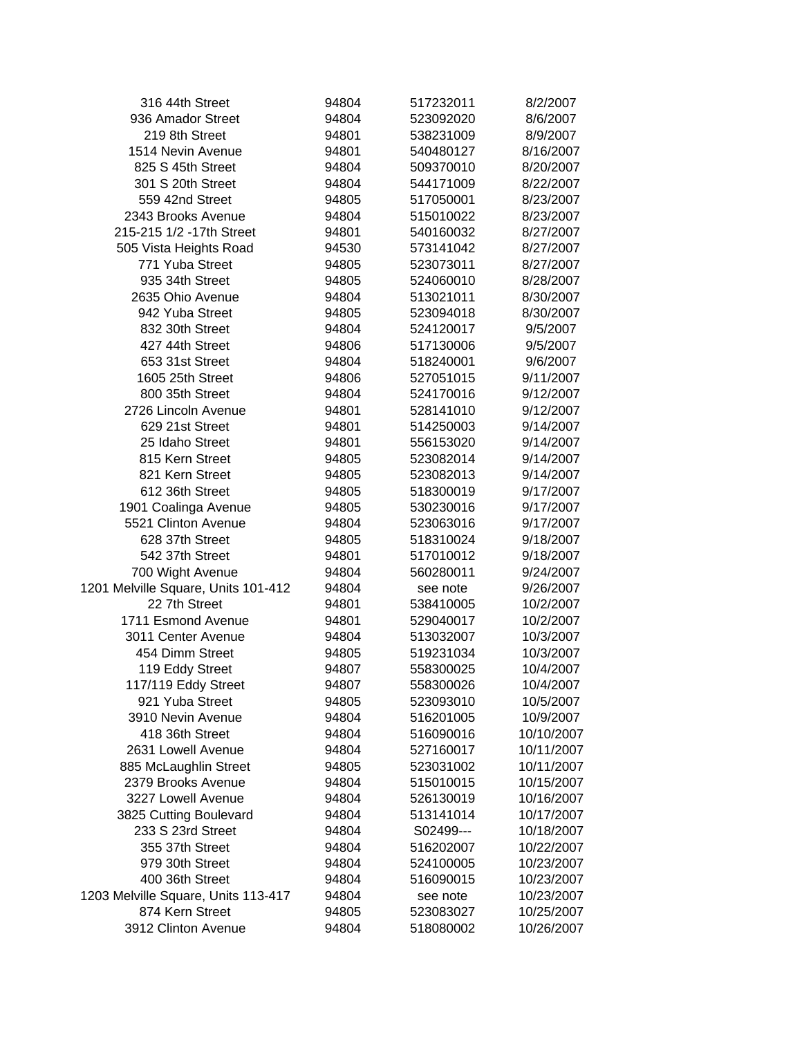| 316 44th Street                     | 94804 | 517232011 | 8/2/2007   |
|-------------------------------------|-------|-----------|------------|
| 936 Amador Street                   | 94804 | 523092020 | 8/6/2007   |
| 219 8th Street                      | 94801 | 538231009 | 8/9/2007   |
| 1514 Nevin Avenue                   | 94801 | 540480127 | 8/16/2007  |
| 825 S 45th Street                   | 94804 | 509370010 | 8/20/2007  |
| 301 S 20th Street                   | 94804 | 544171009 | 8/22/2007  |
| 559 42nd Street                     | 94805 | 517050001 | 8/23/2007  |
| 2343 Brooks Avenue                  | 94804 | 515010022 | 8/23/2007  |
| 215-215 1/2 -17th Street            | 94801 | 540160032 | 8/27/2007  |
| 505 Vista Heights Road              | 94530 | 573141042 | 8/27/2007  |
| 771 Yuba Street                     | 94805 | 523073011 | 8/27/2007  |
| 935 34th Street                     | 94805 | 524060010 | 8/28/2007  |
| 2635 Ohio Avenue                    | 94804 | 513021011 | 8/30/2007  |
| 942 Yuba Street                     | 94805 | 523094018 | 8/30/2007  |
| 832 30th Street                     | 94804 | 524120017 | 9/5/2007   |
| 427 44th Street                     | 94806 | 517130006 | 9/5/2007   |
| 653 31st Street                     | 94804 | 518240001 | 9/6/2007   |
| 1605 25th Street                    | 94806 | 527051015 | 9/11/2007  |
| 800 35th Street                     | 94804 | 524170016 | 9/12/2007  |
| 2726 Lincoln Avenue                 | 94801 | 528141010 | 9/12/2007  |
| 629 21st Street                     | 94801 | 514250003 | 9/14/2007  |
| 25 Idaho Street                     | 94801 | 556153020 | 9/14/2007  |
| 815 Kern Street                     | 94805 | 523082014 | 9/14/2007  |
| 821 Kern Street                     | 94805 | 523082013 | 9/14/2007  |
| 612 36th Street                     | 94805 | 518300019 | 9/17/2007  |
| 1901 Coalinga Avenue                | 94805 | 530230016 | 9/17/2007  |
| 5521 Clinton Avenue                 | 94804 | 523063016 | 9/17/2007  |
| 628 37th Street                     | 94805 | 518310024 | 9/18/2007  |
| 542 37th Street                     | 94801 | 517010012 | 9/18/2007  |
| 700 Wight Avenue                    | 94804 | 560280011 | 9/24/2007  |
| 1201 Melville Square, Units 101-412 | 94804 | see note  | 9/26/2007  |
| 22 7th Street                       | 94801 | 538410005 | 10/2/2007  |
| 1711 Esmond Avenue                  | 94801 | 529040017 | 10/2/2007  |
| 3011 Center Avenue                  | 94804 | 513032007 | 10/3/2007  |
| 454 Dimm Street                     | 94805 | 519231034 | 10/3/2007  |
| 119 Eddy Street                     | 94807 | 558300025 | 10/4/2007  |
| 117/119 Eddy Street                 | 94807 | 558300026 | 10/4/2007  |
| 921 Yuba Street                     | 94805 | 523093010 | 10/5/2007  |
| 3910 Nevin Avenue                   | 94804 | 516201005 | 10/9/2007  |
| 418 36th Street                     | 94804 | 516090016 | 10/10/2007 |
| 2631 Lowell Avenue                  | 94804 | 527160017 | 10/11/2007 |
| 885 McLaughlin Street               | 94805 | 523031002 | 10/11/2007 |
| 2379 Brooks Avenue                  | 94804 | 515010015 | 10/15/2007 |
| 3227 Lowell Avenue                  | 94804 | 526130019 | 10/16/2007 |
| 3825 Cutting Boulevard              | 94804 | 513141014 | 10/17/2007 |
| 233 S 23rd Street                   | 94804 | S02499--- | 10/18/2007 |
| 355 37th Street                     | 94804 | 516202007 | 10/22/2007 |
| 979 30th Street                     | 94804 | 524100005 | 10/23/2007 |
| 400 36th Street                     | 94804 | 516090015 | 10/23/2007 |
| 1203 Melville Square, Units 113-417 | 94804 | see note  | 10/23/2007 |
| 874 Kern Street                     | 94805 | 523083027 | 10/25/2007 |
| 3912 Clinton Avenue                 | 94804 | 518080002 | 10/26/2007 |
|                                     |       |           |            |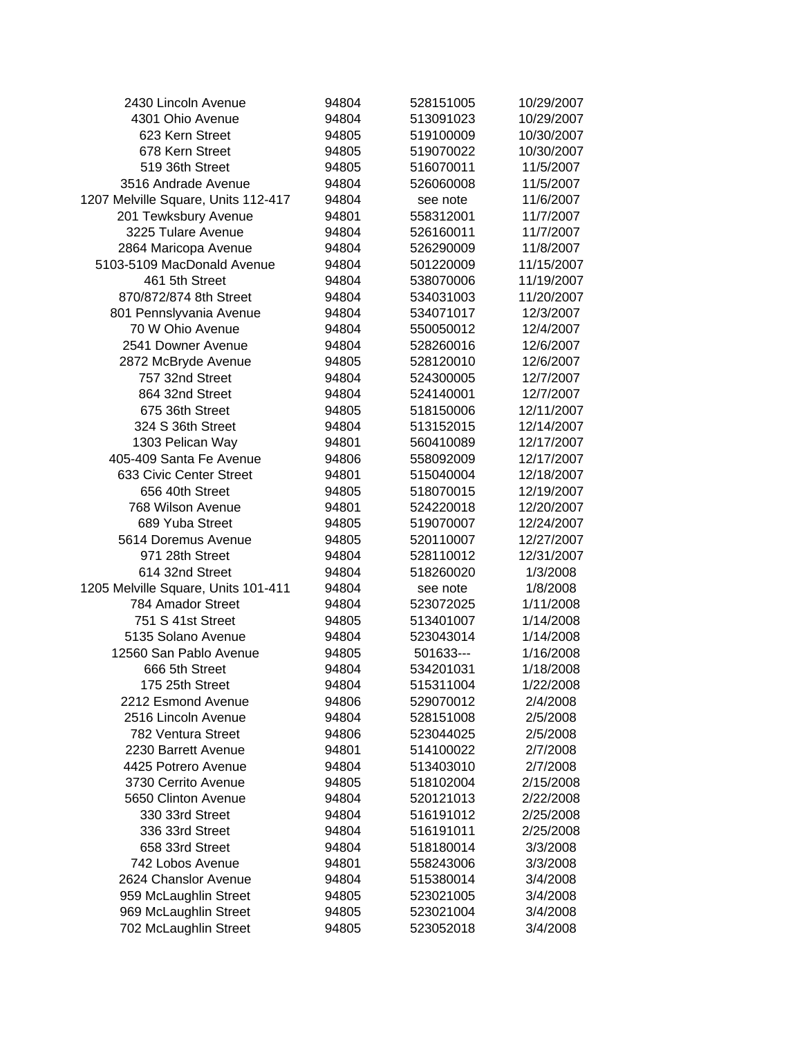| 2430 Lincoln Avenue                 | 94804 | 528151005 | 10/29/2007 |
|-------------------------------------|-------|-----------|------------|
| 4301 Ohio Avenue                    | 94804 | 513091023 | 10/29/2007 |
| 623 Kern Street                     | 94805 | 519100009 | 10/30/2007 |
| 678 Kern Street                     | 94805 | 519070022 | 10/30/2007 |
| 519 36th Street                     | 94805 | 516070011 | 11/5/2007  |
| 3516 Andrade Avenue                 | 94804 | 526060008 | 11/5/2007  |
| 1207 Melville Square, Units 112-417 | 94804 | see note  | 11/6/2007  |
| 201 Tewksbury Avenue                | 94801 | 558312001 | 11/7/2007  |
| 3225 Tulare Avenue                  | 94804 | 526160011 | 11/7/2007  |
| 2864 Maricopa Avenue                | 94804 | 526290009 | 11/8/2007  |
| 5103-5109 MacDonald Avenue          | 94804 | 501220009 | 11/15/2007 |
| 461 5th Street                      | 94804 | 538070006 | 11/19/2007 |
| 870/872/874 8th Street              | 94804 | 534031003 | 11/20/2007 |
| 801 Pennslyvania Avenue             | 94804 | 534071017 | 12/3/2007  |
| 70 W Ohio Avenue                    | 94804 | 550050012 | 12/4/2007  |
| 2541 Downer Avenue                  | 94804 | 528260016 | 12/6/2007  |
| 2872 McBryde Avenue                 | 94805 | 528120010 | 12/6/2007  |
| 757 32nd Street                     | 94804 | 524300005 | 12/7/2007  |
| 864 32nd Street                     | 94804 | 524140001 | 12/7/2007  |
| 675 36th Street                     | 94805 | 518150006 | 12/11/2007 |
| 324 S 36th Street                   | 94804 | 513152015 | 12/14/2007 |
| 1303 Pelican Way                    | 94801 | 560410089 | 12/17/2007 |
| 405-409 Santa Fe Avenue             | 94806 | 558092009 | 12/17/2007 |
| 633 Civic Center Street             | 94801 | 515040004 | 12/18/2007 |
| 656 40th Street                     | 94805 | 518070015 | 12/19/2007 |
| 768 Wilson Avenue                   | 94801 | 524220018 | 12/20/2007 |
| 689 Yuba Street                     | 94805 | 519070007 | 12/24/2007 |
| 5614 Doremus Avenue                 | 94805 | 520110007 | 12/27/2007 |
| 971 28th Street                     | 94804 | 528110012 | 12/31/2007 |
| 614 32nd Street                     | 94804 | 518260020 | 1/3/2008   |
| 1205 Melville Square, Units 101-411 | 94804 | see note  | 1/8/2008   |
| 784 Amador Street                   | 94804 | 523072025 | 1/11/2008  |
| 751 S 41st Street                   | 94805 | 513401007 | 1/14/2008  |
| 5135 Solano Avenue                  | 94804 | 523043014 | 1/14/2008  |
| 12560 San Pablo Avenue              | 94805 | 501633--- | 1/16/2008  |
| 666 5th Street                      | 94804 | 534201031 | 1/18/2008  |
| 175 25th Street                     | 94804 | 515311004 | 1/22/2008  |
| 2212 Esmond Avenue                  | 94806 | 529070012 | 2/4/2008   |
| 2516 Lincoln Avenue                 | 94804 | 528151008 | 2/5/2008   |
| 782 Ventura Street                  | 94806 | 523044025 | 2/5/2008   |
| 2230 Barrett Avenue                 | 94801 | 514100022 | 2/7/2008   |
| 4425 Potrero Avenue                 | 94804 | 513403010 | 2/7/2008   |
| 3730 Cerrito Avenue                 | 94805 | 518102004 | 2/15/2008  |
| 5650 Clinton Avenue                 | 94804 | 520121013 | 2/22/2008  |
| 330 33rd Street                     | 94804 | 516191012 | 2/25/2008  |
| 336 33rd Street                     | 94804 | 516191011 | 2/25/2008  |
| 658 33rd Street                     | 94804 | 518180014 | 3/3/2008   |
| 742 Lobos Avenue                    | 94801 | 558243006 | 3/3/2008   |
| 2624 Chanslor Avenue                | 94804 | 515380014 | 3/4/2008   |
| 959 McLaughlin Street               | 94805 | 523021005 | 3/4/2008   |
| 969 McLaughlin Street               | 94805 | 523021004 | 3/4/2008   |
| 702 McLaughlin Street               | 94805 | 523052018 | 3/4/2008   |
|                                     |       |           |            |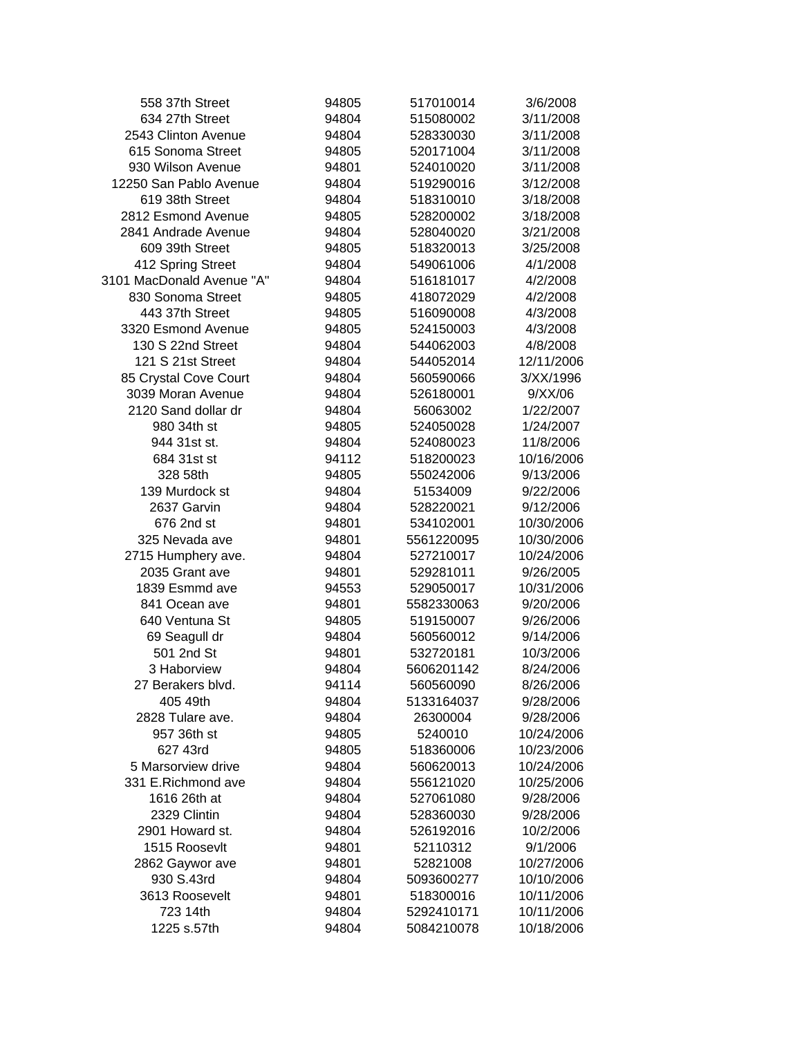| 558 37th Street           | 94805 | 517010014  | 3/6/2008   |  |
|---------------------------|-------|------------|------------|--|
| 634 27th Street           | 94804 | 515080002  | 3/11/2008  |  |
| 2543 Clinton Avenue       | 94804 | 528330030  | 3/11/2008  |  |
| 615 Sonoma Street         | 94805 | 520171004  | 3/11/2008  |  |
| 930 Wilson Avenue         | 94801 | 524010020  | 3/11/2008  |  |
| 12250 San Pablo Avenue    | 94804 | 519290016  | 3/12/2008  |  |
| 619 38th Street           | 94804 | 518310010  | 3/18/2008  |  |
| 2812 Esmond Avenue        | 94805 | 528200002  | 3/18/2008  |  |
| 2841 Andrade Avenue       | 94804 | 528040020  | 3/21/2008  |  |
| 609 39th Street           | 94805 | 518320013  | 3/25/2008  |  |
| 412 Spring Street         | 94804 | 549061006  | 4/1/2008   |  |
| 3101 MacDonald Avenue "A" | 94804 | 516181017  | 4/2/2008   |  |
| 830 Sonoma Street         | 94805 | 418072029  | 4/2/2008   |  |
| 443 37th Street           | 94805 | 516090008  | 4/3/2008   |  |
| 3320 Esmond Avenue        | 94805 | 524150003  | 4/3/2008   |  |
| 130 S 22nd Street         | 94804 | 544062003  | 4/8/2008   |  |
| 121 S 21st Street         | 94804 | 544052014  | 12/11/2006 |  |
| 85 Crystal Cove Court     | 94804 | 560590066  | 3/XX/1996  |  |
| 3039 Moran Avenue         | 94804 | 526180001  | 9/XX/06    |  |
| 2120 Sand dollar dr       | 94804 | 56063002   | 1/22/2007  |  |
| 980 34th st               | 94805 | 524050028  | 1/24/2007  |  |
| 944 31st st.              | 94804 | 524080023  | 11/8/2006  |  |
| 684 31st st               | 94112 | 518200023  | 10/16/2006 |  |
| 328 58th                  | 94805 | 550242006  | 9/13/2006  |  |
| 139 Murdock st            | 94804 | 51534009   | 9/22/2006  |  |
| 2637 Garvin               | 94804 | 528220021  | 9/12/2006  |  |
| 676 2nd st                | 94801 | 534102001  | 10/30/2006 |  |
| 325 Nevada ave            | 94801 | 5561220095 | 10/30/2006 |  |
| 2715 Humphery ave.        | 94804 | 527210017  | 10/24/2006 |  |
| 2035 Grant ave            | 94801 | 529281011  | 9/26/2005  |  |
| 1839 Esmmd ave            | 94553 | 529050017  | 10/31/2006 |  |
| 841 Ocean ave             | 94801 | 5582330063 | 9/20/2006  |  |
| 640 Ventuna St            | 94805 | 519150007  | 9/26/2006  |  |
| 69 Seagull dr             | 94804 | 560560012  | 9/14/2006  |  |
| 501 2nd St                | 94801 | 532720181  | 10/3/2006  |  |
| 3 Haborview               | 94804 | 5606201142 | 8/24/2006  |  |
| 27 Berakers blvd.         | 94114 | 560560090  | 8/26/2006  |  |
| 405 49th                  | 94804 | 5133164037 | 9/28/2006  |  |
| 2828 Tulare ave.          | 94804 | 26300004   | 9/28/2006  |  |
| 957 36th st               | 94805 | 5240010    | 10/24/2006 |  |
| 627 43rd                  | 94805 | 518360006  | 10/23/2006 |  |
| 5 Marsorview drive        | 94804 | 560620013  | 10/24/2006 |  |
| 331 E.Richmond ave        | 94804 | 556121020  | 10/25/2006 |  |
| 1616 26th at              | 94804 | 527061080  | 9/28/2006  |  |
| 2329 Clintin              | 94804 | 528360030  | 9/28/2006  |  |
| 2901 Howard st.           | 94804 | 526192016  | 10/2/2006  |  |
| 1515 Roosevlt             | 94801 | 52110312   | 9/1/2006   |  |
| 2862 Gaywor ave           | 94801 | 52821008   | 10/27/2006 |  |
| 930 S.43rd                | 94804 | 5093600277 | 10/10/2006 |  |
| 3613 Roosevelt            | 94801 | 518300016  | 10/11/2006 |  |
| 723 14th                  | 94804 | 5292410171 | 10/11/2006 |  |
| 1225 s.57th               | 94804 | 5084210078 | 10/18/2006 |  |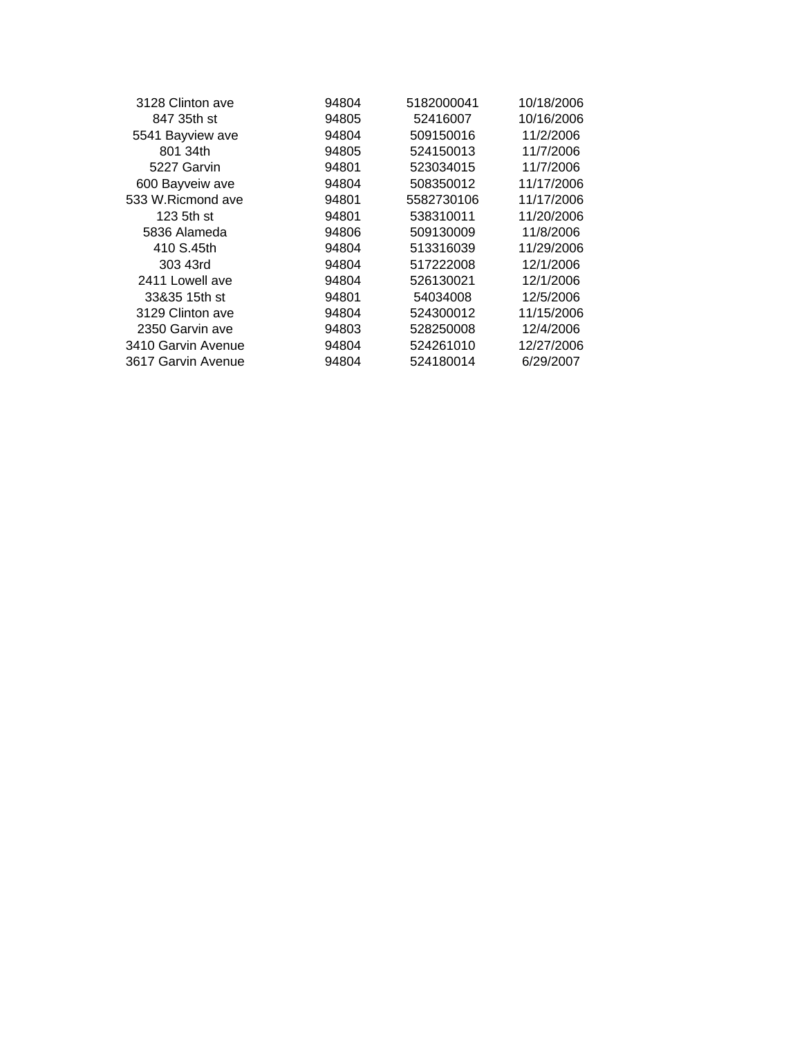| 94804 | 5182000041 | 10/18/2006 |  |
|-------|------------|------------|--|
| 94805 | 52416007   | 10/16/2006 |  |
| 94804 | 509150016  | 11/2/2006  |  |
| 94805 | 524150013  | 11/7/2006  |  |
| 94801 | 523034015  | 11/7/2006  |  |
| 94804 | 508350012  | 11/17/2006 |  |
| 94801 | 5582730106 | 11/17/2006 |  |
| 94801 | 538310011  | 11/20/2006 |  |
| 94806 | 509130009  | 11/8/2006  |  |
| 94804 | 513316039  | 11/29/2006 |  |
| 94804 | 517222008  | 12/1/2006  |  |
| 94804 | 526130021  | 12/1/2006  |  |
| 94801 | 54034008   | 12/5/2006  |  |
| 94804 | 524300012  | 11/15/2006 |  |
| 94803 | 528250008  | 12/4/2006  |  |
| 94804 | 524261010  | 12/27/2006 |  |
| 94804 | 524180014  | 6/29/2007  |  |
|       |            |            |  |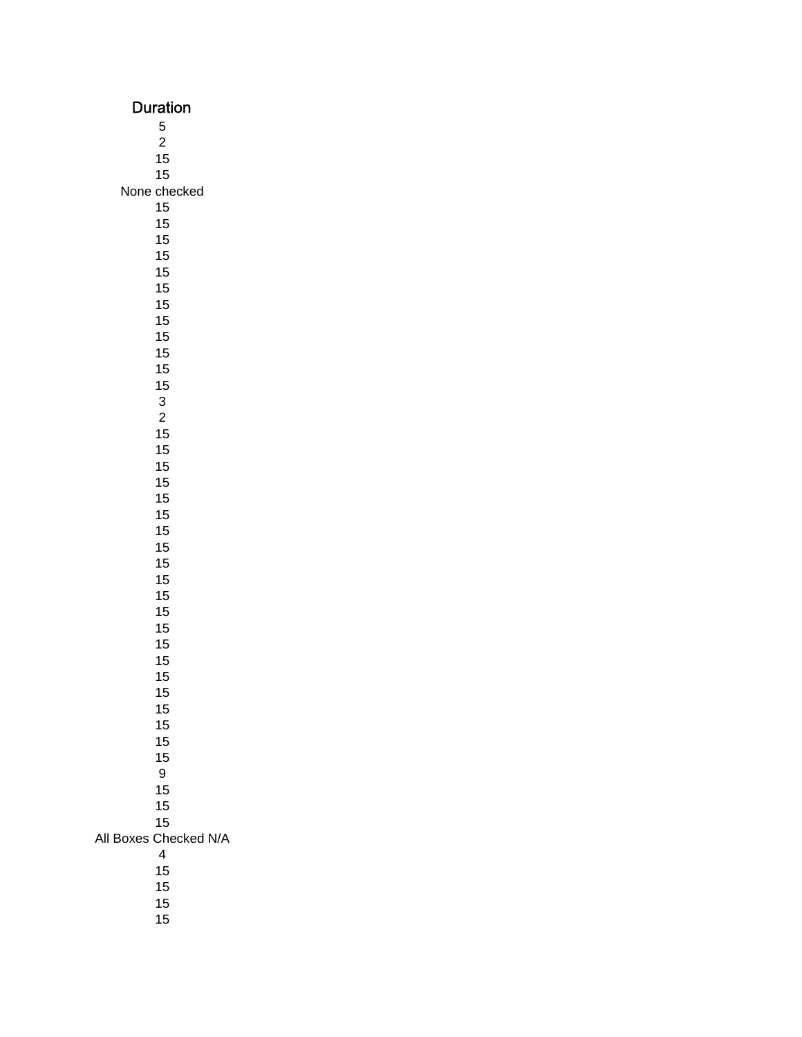| Duration                       |
|--------------------------------|
| 5                              |
| $\overline{c}$                 |
| 15<br>15                       |
| None checked                   |
| 15                             |
| 15                             |
| 15                             |
| 15<br>15                       |
| 15                             |
| 15                             |
| 15                             |
| 15                             |
| 15<br>15                       |
| 15                             |
| 3                              |
| $\overline{c}$                 |
| 15                             |
| 15<br>15                       |
| 15                             |
| 15                             |
| 15                             |
| 15                             |
| 15<br>15                       |
| 15                             |
| 15                             |
| 15                             |
| 15                             |
| 15<br>15                       |
| 15                             |
| 15                             |
| 15                             |
| 15<br>15                       |
| 15                             |
| 9                              |
| 15                             |
| 15                             |
| 15<br>Checked N/A<br>All Boxes |
| $\overline{4}$                 |
| 15                             |
| 15                             |
| 15                             |
| 15                             |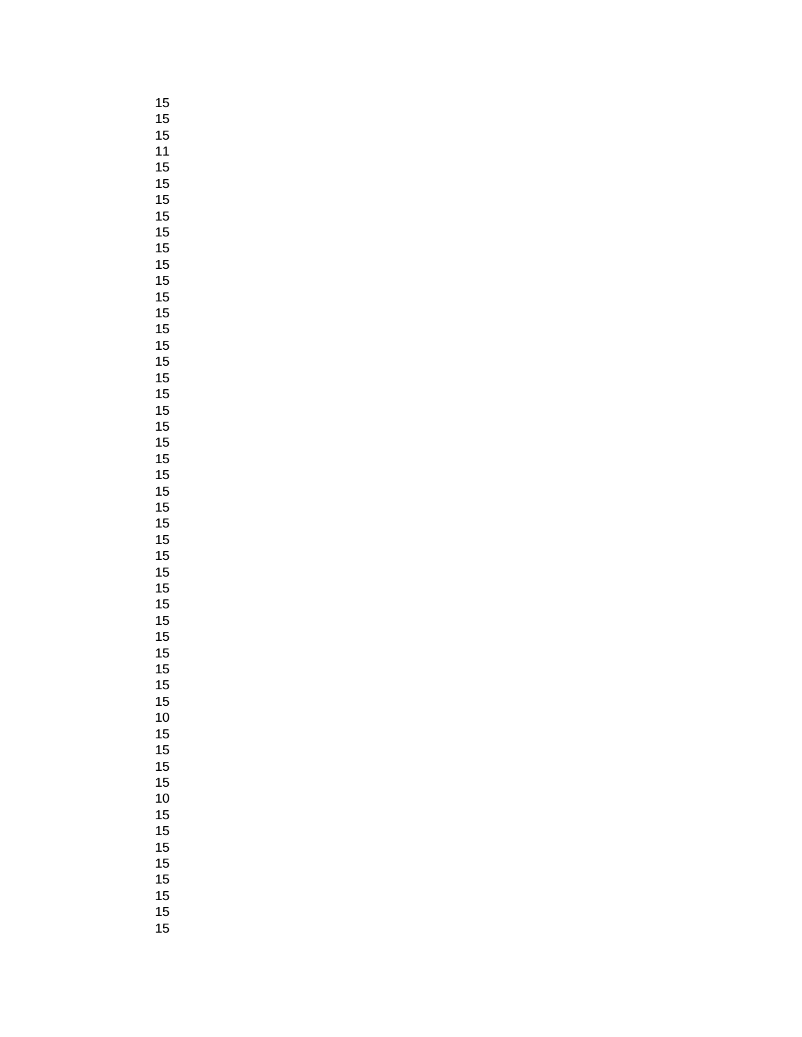|   | $15\,$          |  |
|---|-----------------|--|
|   |                 |  |
|   |                 |  |
|   |                 |  |
|   |                 |  |
|   |                 |  |
|   |                 |  |
|   |                 |  |
|   |                 |  |
|   |                 |  |
|   |                 |  |
|   |                 |  |
|   |                 |  |
|   |                 |  |
|   |                 |  |
|   |                 |  |
|   |                 |  |
|   |                 |  |
|   |                 |  |
|   |                 |  |
|   |                 |  |
|   |                 |  |
|   |                 |  |
|   |                 |  |
|   |                 |  |
|   |                 |  |
|   |                 |  |
|   |                 |  |
|   |                 |  |
|   |                 |  |
|   |                 |  |
|   |                 |  |
|   |                 |  |
|   |                 |  |
|   |                 |  |
|   |                 |  |
|   | $\overline{15}$ |  |
|   | 15              |  |
|   | 10              |  |
|   | 15              |  |
|   | 15              |  |
|   | 15              |  |
|   | 15              |  |
|   | 10              |  |
| 1 | 5               |  |
|   | 15              |  |
|   | 15              |  |
| 1 | 5               |  |
| 1 | 5               |  |
| 1 | 5               |  |
| 1 | 5               |  |
| 1 | ť               |  |
|   |                 |  |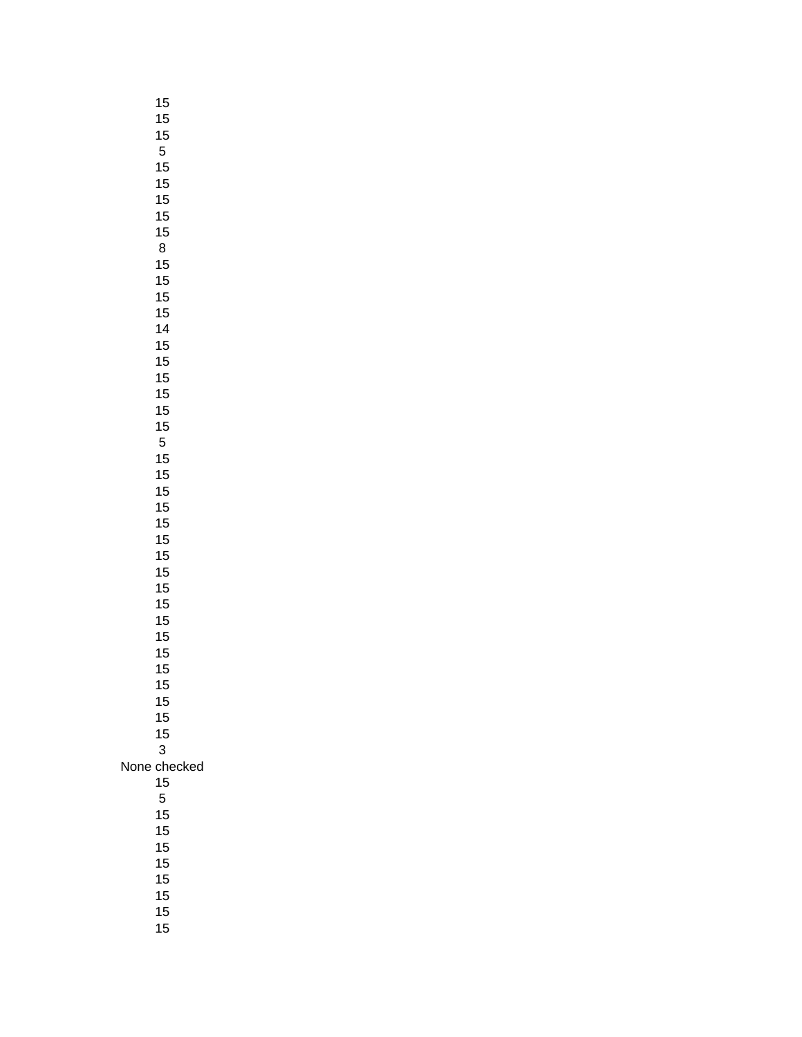|      | 15       |
|------|----------|
|      | 15       |
|      | 15       |
|      | 5        |
|      | 15<br>15 |
|      | 15       |
|      | 15       |
|      | 15       |
|      | 8        |
|      | 15       |
|      | 15       |
|      | 15       |
|      | 15       |
|      | 14       |
|      | 15       |
|      | 15       |
|      | 15       |
|      | 15       |
|      | 15       |
|      | 15       |
|      | 5        |
|      | 15<br>15 |
|      | 15       |
|      | 15       |
|      | 15       |
|      | 15       |
|      | 15       |
|      | 15       |
|      | 15       |
|      | 15       |
|      | 15       |
|      | 15       |
|      | 15       |
|      | 15       |
|      | 15       |
|      | 15       |
|      | 15<br>15 |
|      | 3        |
| None | checked  |
|      | 15       |
|      | 5        |
|      | 15       |
|      | 15       |
|      | 15       |
|      | 15       |
|      | 15       |
|      | 15       |
|      | 15       |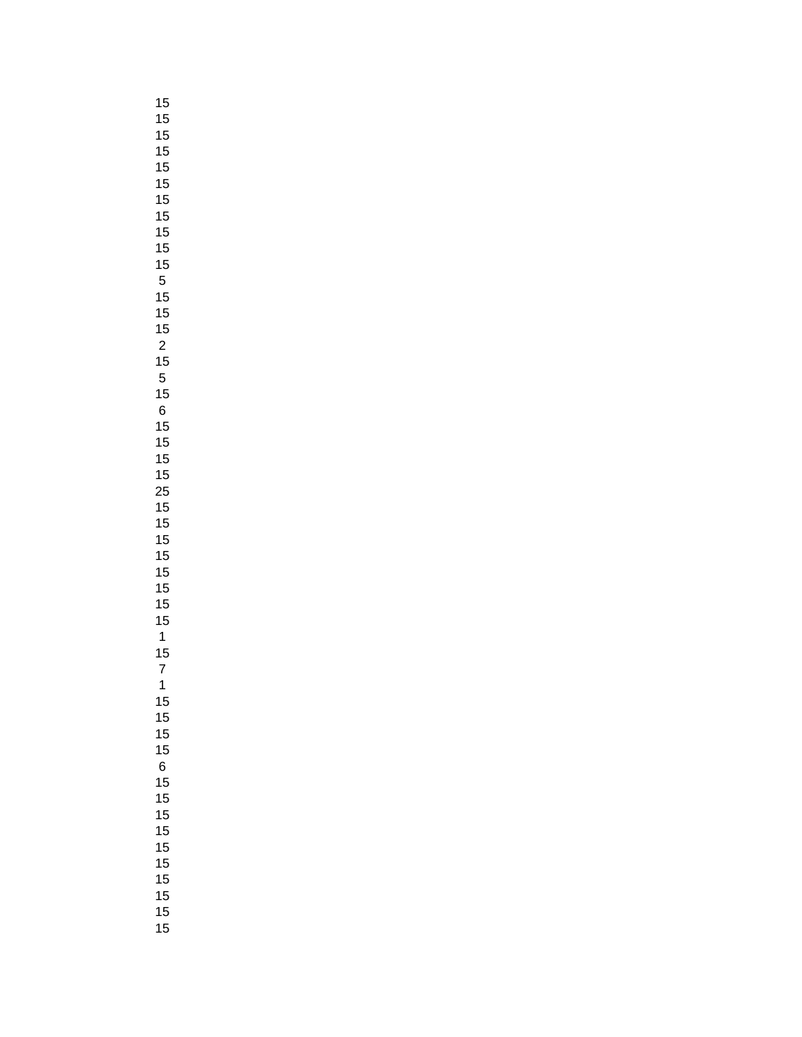| 15                                     |  |
|----------------------------------------|--|
| $\ddagger$                             |  |
| $\ddot{\phantom{a}}$                   |  |
|                                        |  |
| 15<br>15<br>15<br>15<br>15             |  |
|                                        |  |
|                                        |  |
| 15                                     |  |
|                                        |  |
|                                        |  |
|                                        |  |
| ` 15 15 15 15 15 15 15 1r              |  |
|                                        |  |
|                                        |  |
|                                        |  |
|                                        |  |
|                                        |  |
|                                        |  |
|                                        |  |
| $\begin{array}{c} 15 \\ 6 \end{array}$ |  |
| 15                                     |  |
| $\frac{15}{1}$                         |  |
|                                        |  |
|                                        |  |
|                                        |  |
|                                        |  |
|                                        |  |
|                                        |  |
|                                        |  |
| 15<br>15<br>15<br>15                   |  |
|                                        |  |
|                                        |  |
| 5<br>1                                 |  |
| 1                                      |  |
| 15                                     |  |
| 7                                      |  |
| 1                                      |  |
| 15                                     |  |
| 15                                     |  |
| 15                                     |  |
| 15                                     |  |
| 6                                      |  |
| 15                                     |  |
| 15                                     |  |
| 15                                     |  |
| 15                                     |  |
| 15                                     |  |
| 15                                     |  |
| 15                                     |  |
| 15                                     |  |
| 15                                     |  |
| ŗ<br>1                                 |  |
|                                        |  |